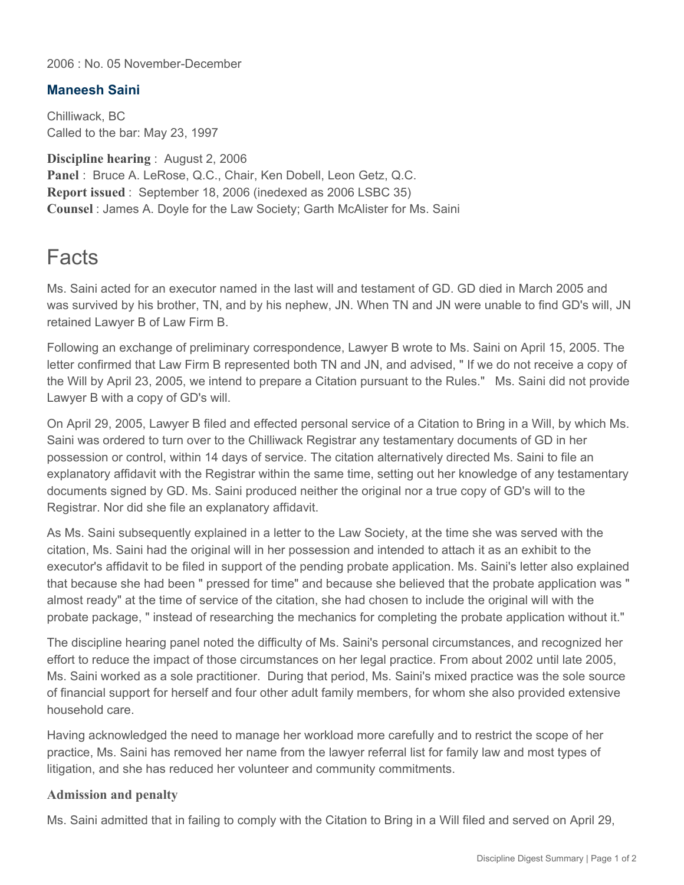2006 : No. 05 November-December

## **Maneesh Saini**

Chilliwack, BC Called to the bar: May 23, 1997

**Discipline hearing** : August 2, 2006 **Panel** : Bruce A. LeRose, Q.C., Chair, Ken Dobell, Leon Getz, Q.C. **Report issued** : September 18, 2006 (inedexed as 2006 LSBC 35) **Counsel** : James A. Doyle for the Law Society; Garth McAlister for Ms. Saini

## **Facts**

Ms. Saini acted for an executor named in the last will and testament of GD. GD died in March 2005 and was survived by his brother, TN, and by his nephew, JN. When TN and JN were unable to find GD's will, JN retained Lawyer B of Law Firm B.

Following an exchange of preliminary correspondence, Lawyer B wrote to Ms. Saini on April 15, 2005. The letter confirmed that Law Firm B represented both TN and JN, and advised, " If we do not receive a copy of the Will by April 23, 2005, we intend to prepare a Citation pursuant to the Rules." Ms. Saini did not provide Lawyer B with a copy of GD's will.

On April 29, 2005, Lawyer B filed and effected personal service of a Citation to Bring in a Will, by which Ms. Saini was ordered to turn over to the Chilliwack Registrar any testamentary documents of GD in her possession or control, within 14 days of service. The citation alternatively directed Ms. Saini to file an explanatory affidavit with the Registrar within the same time, setting out her knowledge of any testamentary documents signed by GD. Ms. Saini produced neither the original nor a true copy of GD's will to the Registrar. Nor did she file an explanatory affidavit.

As Ms. Saini subsequently explained in a letter to the Law Society, at the time she was served with the citation, Ms. Saini had the original will in her possession and intended to attach it as an exhibit to the executor's affidavit to be filed in support of the pending probate application. Ms. Saini's letter also explained that because she had been " pressed for time" and because she believed that the probate application was " almost ready" at the time of service of the citation, she had chosen to include the original will with the probate package, " instead of researching the mechanics for completing the probate application without it."

The discipline hearing panel noted the difficulty of Ms. Saini's personal circumstances, and recognized her effort to reduce the impact of those circumstances on her legal practice. From about 2002 until late 2005, Ms. Saini worked as a sole practitioner. During that period, Ms. Saini's mixed practice was the sole source of financial support for herself and four other adult family members, for whom she also provided extensive household care.

Having acknowledged the need to manage her workload more carefully and to restrict the scope of her practice, Ms. Saini has removed her name from the lawyer referral list for family law and most types of litigation, and she has reduced her volunteer and community commitments.

## **Admission and penalty**

Ms. Saini admitted that in failing to comply with the Citation to Bring in a Will filed and served on April 29,